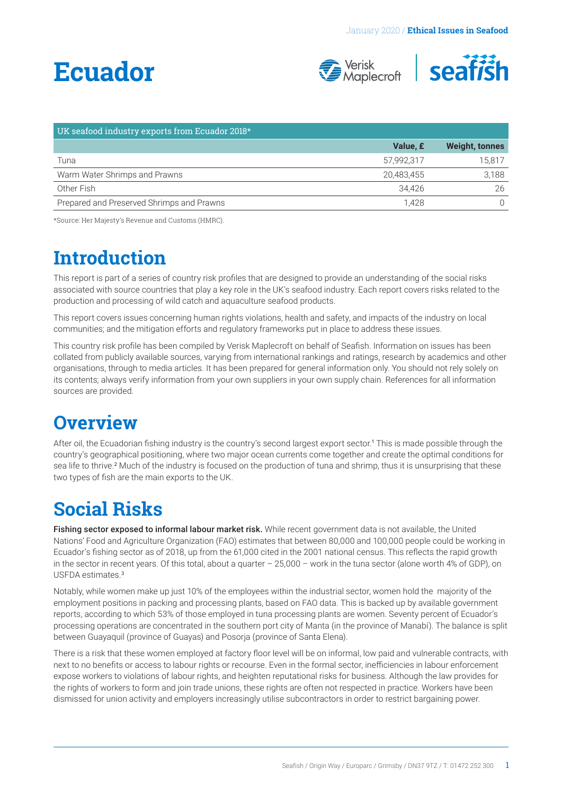# <span id="page-0-0"></span>**Ecuador**



| UK seafood industry exports from Ecuador 2018* |            |                       |
|------------------------------------------------|------------|-----------------------|
|                                                | Value, £   | <b>Weight, tonnes</b> |
| Tuna                                           | 57.992.317 | 15.817                |
| Warm Water Shrimps and Prawns                  | 20.483.455 | 3.188                 |
| Other Fish                                     | 34.426     | 26                    |
| Prepared and Preserved Shrimps and Prawns      | 1.428      |                       |

\*Source: Her Majesty's Revenue and Customs (HMRC).

## **Introduction**

This report is part of a series of country risk profiles that are designed to provide an understanding of the social risks associated with source countries that play a key role in the UK's seafood industry. Each report covers risks related to the production and processing of wild catch and aquaculture seafood products.

This report covers issues concerning human rights violations, health and safety, and impacts of the industry on local communities; and the mitigation efforts and regulatory frameworks put in place to address these issues.

This country risk profile has been compiled by Verisk Maplecroft on behalf of Seafish. Information on issues has been collated from publicly available sources, varying from international rankings and ratings, research by academics and other organisations, through to media articles. It has been prepared for general information only. You should not rely solely on its contents; always verify information from your own suppliers in your own supply chain. References for all information sources are provided.

### **Overview**

After oil, the Ecuadorian fishing industry is the country's second largest export sector.[1](#page-3-0) This is made possible through the country's geographical positioning, where two major ocean currents come together and create the optimal conditions for sea life to thrive.<sup>[2](#page-3-0)</sup> Much of the industry is focused on the production of tuna and shrimp, thus it is unsurprising that these two types of fish are the main exports to the UK.

## **Social Risks**

Fishing sector exposed to informal labour market risk. While recent government data is not available, the United Nations' Food and Agriculture Organization (FAO) estimates that between 80,000 and 100,000 people could be working in Ecuador's fishing sector as of 2018, up from the 61,000 cited in the 2001 national census. This reflects the rapid growth in the sector in recent years. Of this total, about a quarter – 25,000 – work in the tuna sector (alone worth 4% of GDP), on USFDA estimates<sup>[3](#page-3-0)</sup>

Notably, while women make up just 10% of the employees within the industrial sector, women hold the majority of the employment positions in packing and processing plants, based on FAO data. This is backed up by available government reports, according to which 53% of those employed in tuna processing plants are women. Seventy percent of Ecuador's processing operations are concentrated in the southern port city of Manta (in the province of Manabí). The balance is split between Guayaquil (province of Guayas) and Posorja (province of Santa Elena).

There is a risk that these women employed at factory floor level will be on informal, low paid and vulnerable contracts, with next to no benefits or access to labour rights or recourse. Even in the formal sector, inefficiencies in labour enforcement expose workers to violations of labour rights, and heighten reputational risks for business. Although the law provides for the rights of workers to form and join trade unions, these rights are often not respected in practice. Workers have been dismissed for union activity and employers increasingly utilise subcontractors in order to restrict bargaining power.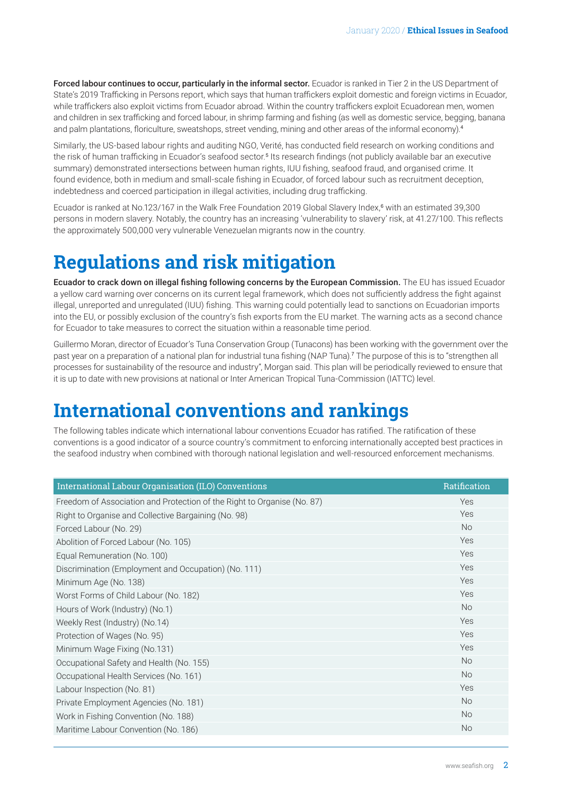<span id="page-1-0"></span>Forced labour continues to occur, particularly in the informal sector. Ecuador is ranked in Tier 2 in the US Department of State's 2019 Trafficking in Persons report, which says that human traffickers exploit domestic and foreign victims in Ecuador, while traffickers also exploit victims from Ecuador abroad. Within the country traffickers exploit Ecuadorean men, women and children in sex trafficking and forced labour, in shrimp farming and fishing (as well as domestic service, begging, banana and palm plantations, floriculture, sweatshops, street vending, mining and other areas of the informal economy).[4](#page-3-0)

Similarly, the US-based labour rights and auditing NGO, Verité, has conducted field research on working conditions and the risk of human trafficking in Ecuador's seafood sector.<sup>[5](#page-3-0)</sup> Its research findings (not publicly available bar an executive summary) demonstrated intersections between human rights, IUU fishing, seafood fraud, and organised crime. It found evidence, both in medium and small-scale fishing in Ecuador, of forced labour such as recruitment deception, indebtedness and coerced participation in illegal activities, including drug trafficking.

Ecuador is ranked at No.123/1[6](#page-3-0)7 in the Walk Free Foundation 2019 Global Slavery Index,<sup>6</sup> with an estimated 39,300 persons in modern slavery. Notably, the country has an increasing 'vulnerability to slavery' risk, at 41.27/100. This reflects the approximately 500,000 very vulnerable Venezuelan migrants now in the country.

## **Regulations and risk mitigation**

Ecuador to crack down on illegal fishing following concerns by the European Commission. The EU has issued Ecuador a yellow card warning over concerns on its current legal framework, which does not sufficiently address the fight against illegal, unreported and unregulated (IUU) fishing. This warning could potentially lead to sanctions on Ecuadorian imports into the EU, or possibly exclusion of the country's fish exports from the EU market. The warning acts as a second chance for Ecuador to take measures to correct the situation within a reasonable time period.

Guillermo Moran, director of Ecuador's Tuna Conservation Group (Tunacons) has been working with the government over the past year on a preparation of a national plan for industrial tuna fishing (NAP Tuna).[7](#page-3-0) The purpose of this is to "strengthen all processes for sustainability of the resource and industry", Morgan said. This plan will be periodically reviewed to ensure that it is up to date with new provisions at national or Inter American Tropical Tuna-Commission (IATTC) level.

## **International conventions and rankings**

The following tables indicate which international labour conventions Ecuador has ratified. The ratification of these conventions is a good indicator of a source country's commitment to enforcing internationally accepted best practices in the seafood industry when combined with thorough national legislation and well-resourced enforcement mechanisms.

| International Labour Organisation (ILO) Conventions                     | Ratification |
|-------------------------------------------------------------------------|--------------|
| Freedom of Association and Protection of the Right to Organise (No. 87) | Yes          |
| Right to Organise and Collective Bargaining (No. 98)                    | Yes          |
| Forced Labour (No. 29)                                                  | <b>No</b>    |
| Abolition of Forced Labour (No. 105)                                    | Yes          |
| Equal Remuneration (No. 100)                                            | Yes          |
| Discrimination (Employment and Occupation) (No. 111)                    | Yes          |
| Minimum Age (No. 138)                                                   | Yes          |
| Worst Forms of Child Labour (No. 182)                                   | Yes          |
| Hours of Work (Industry) (No.1)                                         | <b>No</b>    |
| Weekly Rest (Industry) (No.14)                                          | Yes          |
| Protection of Wages (No. 95)                                            | Yes          |
| Minimum Wage Fixing (No.131)                                            | Yes          |
| Occupational Safety and Health (No. 155)                                | <b>No</b>    |
| Occupational Health Services (No. 161)                                  | <b>No</b>    |
| Labour Inspection (No. 81)                                              | Yes          |
| Private Employment Agencies (No. 181)                                   | <b>No</b>    |
| Work in Fishing Convention (No. 188)                                    | <b>No</b>    |
| Maritime Labour Convention (No. 186)                                    | <b>No</b>    |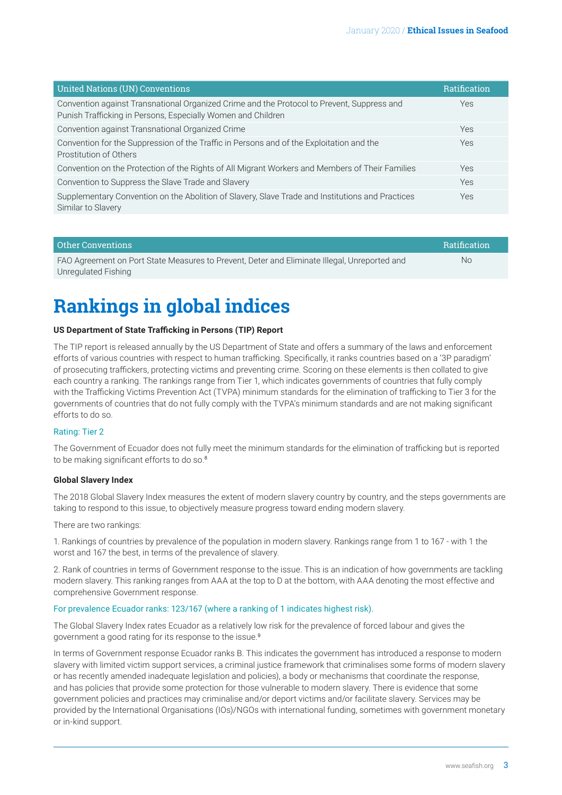<span id="page-2-0"></span>

| <b>United Nations (UN) Conventions</b>                                                                                                                     | <b>Ratification</b> |
|------------------------------------------------------------------------------------------------------------------------------------------------------------|---------------------|
| Convention against Transnational Organized Crime and the Protocol to Prevent, Suppress and<br>Punish Trafficking in Persons, Especially Women and Children | Yes                 |
| Convention against Transnational Organized Crime                                                                                                           | <b>Yes</b>          |
| Convention for the Suppression of the Traffic in Persons and of the Exploitation and the<br>Prostitution of Others                                         | <b>Yes</b>          |
| Convention on the Protection of the Rights of All Migrant Workers and Members of Their Families                                                            | Yes                 |
| Convention to Suppress the Slave Trade and Slavery                                                                                                         | Yes                 |
| Supplementary Convention on the Abolition of Slavery, Slave Trade and Institutions and Practices<br>Similar to Slavery                                     | Yes                 |

| Other Conventions                                                                            | <b>Ratification</b> |
|----------------------------------------------------------------------------------------------|---------------------|
| FAO Agreement on Port State Measures to Prevent, Deter and Eliminate Illegal, Unreported and | No                  |
| Unregulated Fishing                                                                          |                     |

## **Rankings in global indices**

#### **US Department of State Trafficking in Persons (TIP) Report**

The TIP report is released annually by the US Department of State and offers a summary of the laws and enforcement efforts of various countries with respect to human trafficking. Specifically, it ranks countries based on a '3P paradigm' of prosecuting traffickers, protecting victims and preventing crime. Scoring on these elements is then collated to give each country a ranking. The rankings range from Tier 1, which indicates governments of countries that fully comply with the Trafficking Victims Prevention Act (TVPA) minimum standards for the elimination of trafficking to Tier 3 for the governments of countries that do not fully comply with the TVPA's minimum standards and are not making significant efforts to do so.

#### Rating: Tier 2

The Government of Ecuador does not fully meet the minimum standards for the elimination of trafficking but is reported to be making significant efforts to do so.<sup>[8](#page-3-0)</sup>

#### **Global Slavery Index**

The 2018 Global Slavery Index measures the extent of modern slavery country by country, and the steps governments are taking to respond to this issue, to objectively measure progress toward ending modern slavery.

There are two rankings:

1. Rankings of countries by prevalence of the population in modern slavery. Rankings range from 1 to 167 - with 1 the worst and 167 the best, in terms of the prevalence of slavery.

2. Rank of countries in terms of Government response to the issue. This is an indication of how governments are tackling modern slavery. This ranking ranges from AAA at the top to D at the bottom, with AAA denoting the most effective and comprehensive Government response.

#### For prevalence Ecuador ranks: 123/167 (where a ranking of 1 indicates highest risk).

The Global Slavery Index rates Ecuador as a relatively low risk for the prevalence of forced labour and gives the government a good rating for its response to the issue.[9](#page-3-0)

In terms of Government response Ecuador ranks B. This indicates the government has introduced a response to modern slavery with limited victim support services, a criminal justice framework that criminalises some forms of modern slavery or has recently amended inadequate legislation and policies), a body or mechanisms that coordinate the response, and has policies that provide some protection for those vulnerable to modern slavery. There is evidence that some government policies and practices may criminalise and/or deport victims and/or facilitate slavery. Services may be provided by the International Organisations (IOs)/NGOs with international funding, sometimes with government monetary or in-kind support.